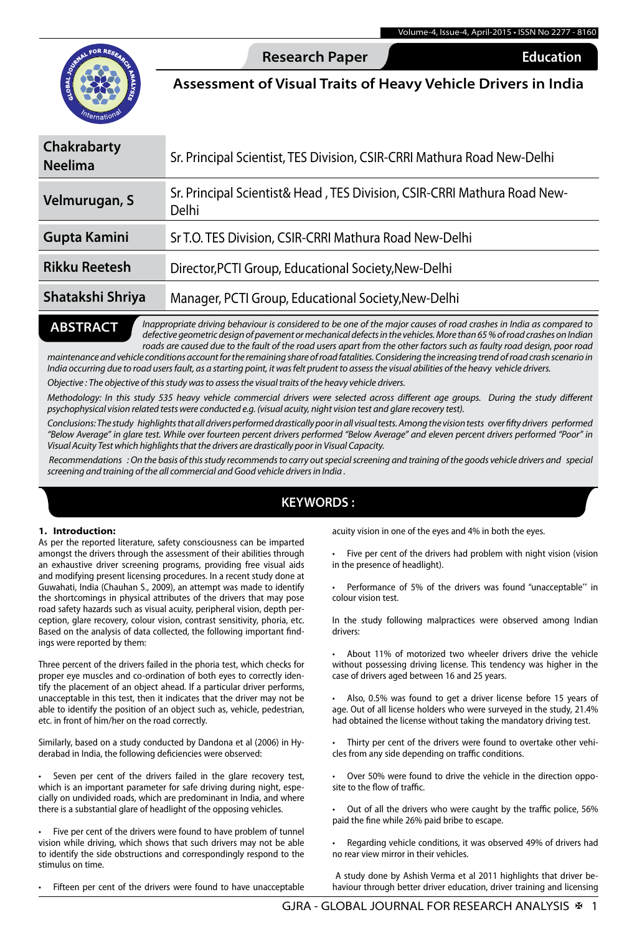

**Research Paper** Commerce **Education** 

**Assessment of Visual Traits of Heavy Vehicle Drivers in India**

# **Chakrabarty Neelima** Sr. Principal Scientist, TES Division, CSIR-CRRI Mathura Road New-Delhi **Velmurugan, S** Sr. Principal Scientist& Head , TES Division, CSIR-CRRI Mathura Road New-Delhi **Gupta Kamini** Sr T.O. TES Division, CSIR-CRRI Mathura Road New-Delhi

## **Rikku Reetesh** Director,PCTI Group, Educational Society,New-Delhi

## **Shatakshi Shriya** Manager, PCTI Group, Educational Society,New-Delhi

#### *Inappropriate driving behaviour is considered to be one of the major causes of road crashes in India as compared to defective geometric design of pavement or mechanical defects in the vehicles. More than 65 % of road crashes on Indian roads are caused due to the fault of the road users apart from the other factors such as faulty road design, poor road*  **ABSTRACT**

*maintenance and vehicle conditions account for the remaining share of road fatalities. Considering the increasing trend of road crash scenario in India occurring due to road users fault, as a starting point, it was felt prudent to assess the visual abilities of the heavy vehicle drivers.* 

*Objective : The objective of this study was to assess the visual traits of the heavy vehicle drivers.* 

*Methodology: In this study 535 heavy vehicle commercial drivers were selected across different age groups. During the study different psychophysical vision related tests were conducted e.g. (visual acuity, night vision test and glare recovery test).*

Conclusions: The study highlights that all drivers performed drastically poor in all visual tests. Among the vision tests over fifty drivers performed *"Below Average" in glare test. While over fourteen percent drivers performed "Below Average" and eleven percent drivers performed "Poor" in Visual Acuity Test which highlights that the drivers are drastically poor in Visual Capacity.*

 *Recommendations : On the basis of this study recommends to carry out special screening and training of the goods vehicle drivers and special screening and training of the all commercial and Good vehicle drivers in India .*

### **KEYWORDS :**

#### **1. Introduction:**

As per the reported literature, safety consciousness can be imparted amongst the drivers through the assessment of their abilities through an exhaustive driver screening programs, providing free visual aids and modifying present licensing procedures. In a recent study done at Guwahati, India (Chauhan S., 2009), an attempt was made to identify the shortcomings in physical attributes of the drivers that may pose road safety hazards such as visual acuity, peripheral vision, depth perception, glare recovery, colour vision, contrast sensitivity, phoria, etc. Based on the analysis of data collected, the following important findings were reported by them:

Three percent of the drivers failed in the phoria test, which checks for proper eye muscles and co-ordination of both eyes to correctly identify the placement of an object ahead. If a particular driver performs, unacceptable in this test, then it indicates that the driver may not be able to identify the position of an object such as, vehicle, pedestrian, etc. in front of him/her on the road correctly.

Similarly, based on a study conducted by Dandona et al (2006) in Hyderabad in India, the following deficiencies were observed:

Seven per cent of the drivers failed in the glare recovery test, which is an important parameter for safe driving during night, especially on undivided roads, which are predominant in India, and where there is a substantial glare of headlight of the opposing vehicles.

Five per cent of the drivers were found to have problem of tunnel vision while driving, which shows that such drivers may not be able to identify the side obstructions and correspondingly respond to the stimulus on time.

Fifteen per cent of the drivers were found to have unacceptable

acuity vision in one of the eyes and 4% in both the eyes.

Five per cent of the drivers had problem with night vision (vision in the presence of headlight).

Performance of 5% of the drivers was found "unacceptable" in colour vision test.

In the study following malpractices were observed among Indian drivers:

About 11% of motorized two wheeler drivers drive the vehicle without possessing driving license. This tendency was higher in the case of drivers aged between 16 and 25 years.

Also, 0.5% was found to get a driver license before 15 years of age. Out of all license holders who were surveyed in the study, 21.4% had obtained the license without taking the mandatory driving test.

Thirty per cent of the drivers were found to overtake other vehicles from any side depending on traffic conditions.

Over 50% were found to drive the vehicle in the direction opposite to the flow of traffic.

Out of all the drivers who were caught by the traffic police, 56% paid the fine while 26% paid bribe to escape.

Regarding vehicle conditions, it was observed 49% of drivers had no rear view mirror in their vehicles.

A study done by Ashish Verma et al 2011 highlights that driver behaviour through better driver education, driver training and licensing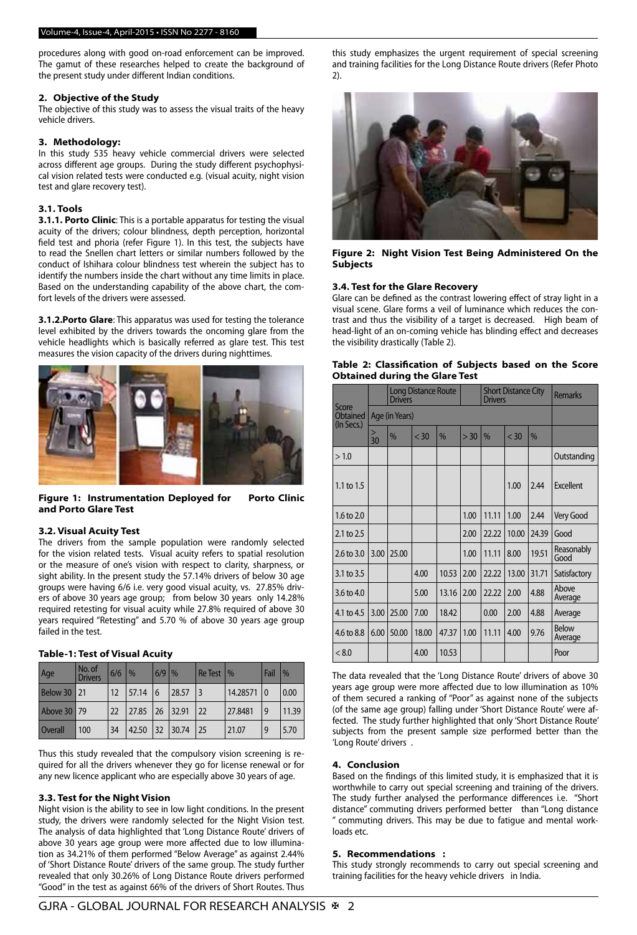procedures along with good on-road enforcement can be improved. The gamut of these researches helped to create the background of the present study under different Indian conditions.

#### **2. Objective of the Study**

The objective of this study was to assess the visual traits of the heavy vehicle drivers.

#### **3. Methodology:**

In this study 535 heavy vehicle commercial drivers were selected across different age groups. During the study different psychophysical vision related tests were conducted e.g. (visual acuity, night vision test and glare recovery test).

#### **3.1. Tools**

**3.1.1. Porto Clinic**: This is a portable apparatus for testing the visual acuity of the drivers; colour blindness, depth perception, horizontal field test and phoria (refer Figure 1). In this test, the subjects have to read the Snellen chart letters or similar numbers followed by the conduct of Ishihara colour blindness test wherein the subject has to identify the numbers inside the chart without any time limits in place. Based on the understanding capability of the above chart, the comfort levels of the drivers were assessed.

**3.1.2.Porto Glare**: This apparatus was used for testing the tolerance level exhibited by the drivers towards the oncoming glare from the vehicle headlights which is basically referred as glare test. This test measures the vision capacity of the drivers during nighttimes.



**Figure 1: Instrumentation Deployed for Porto Clinic and Porto Glare Test**

#### **3.2. Visual Acuity Test**

The drivers from the sample population were randomly selected for the vision related tests. Visual acuity refers to spatial resolution or the measure of one's vision with respect to clarity, sharpness, or sight ability. In the present study the 57.14% drivers of below 30 age groups were having 6/6 i.e. very good visual acuity, vs. 27.85% drivers of above 30 years age group; from below 30 years only 14.28% required retesting for visual acuity while 27.8% required of above 30 years required "Retesting" and 5.70 % of above 30 years age group failed in the test.

#### **Table-1: Test of Visual Acuity**

| Age                | No. of<br><b>Drivers</b> | 6/6 | $\%$   | $6/9$ $\frac{9}{6}$ |          | $Re$ Test $\frac{1}{6}$ |          | Fail           | $\frac{0}{0}$ |
|--------------------|--------------------------|-----|--------|---------------------|----------|-------------------------|----------|----------------|---------------|
| <b>Below 30 21</b> |                          | 12  | 157.14 | 16                  | 28.57    | $\overline{3}$          | 14.28571 | $\overline{0}$ | 0.00          |
| Above 30   79      |                          | 22  | 27.85  |                     | 26 32.91 | 22                      | 27.8481  | 9              | 11.39         |
| <b>Overall</b>     | 100                      | 34  | 42.50  | l 32                | 30.74    | 25                      | 121.07   | 9              | 5.70          |

Thus this study revealed that the compulsory vision screening is required for all the drivers whenever they go for license renewal or for any new licence applicant who are especially above 30 years of age.

#### **3.3. Test for the Night Vision**

Night vision is the ability to see in low light conditions. In the present study, the drivers were randomly selected for the Night Vision test. The analysis of data highlighted that 'Long Distance Route' drivers of above 30 years age group were more affected due to low illumination as 34.21% of them performed "Below Average" as against 2.44% of 'Short Distance Route' drivers of the same group. The study further revealed that only 30.26% of Long Distance Route drivers performed "Good" in the test as against 66% of the drivers of Short Routes. Thus

this study emphasizes the urgent requirement of special screening and training facilities for the Long Distance Route drivers (Refer Photo 2).



**Figure 2: Night Vision Test Being Administered On the Subjects** 

#### **3.4. Test for the Glare Recovery**

Glare can be defined as the contrast lowering effect of stray light in a visual scene. Glare forms a veil of luminance which reduces the contrast and thus the visibility of a target is decreased. High beam of head-light of an on-coming vehicle has blinding effect and decreases the visibility drastically (Table 2).

| Score<br>Obtained<br>(In Secs.) |                | <b>Long Distance Route</b><br><b>Drivers</b> |        |               |      | <b>Short Distance City</b><br><b>Drivers</b> |        |       | <b>Remarks</b>          |
|---------------------------------|----------------|----------------------------------------------|--------|---------------|------|----------------------------------------------|--------|-------|-------------------------|
|                                 | Age (in Years) |                                              |        |               |      |                                              |        |       |                         |
|                                 | ><br>30        | $\frac{9}{6}$                                | $<$ 30 | $\frac{0}{0}$ | > 30 | $\%$                                         | $<$ 30 | $\%$  |                         |
| >1.0                            |                |                                              |        |               |      |                                              |        |       | Outstanding             |
| 1.1 to 1.5                      |                |                                              |        |               |      |                                              | 1.00   | 2.44  | Excellent               |
| 1.6 to 2.0                      |                |                                              |        |               | 1.00 | 11.11                                        | 1.00   | 2.44  | Very Good               |
| 2.1 to 2.5                      |                |                                              |        |               | 2.00 | 22.22                                        | 10.00  | 24.39 | Good                    |
| $2.6 \text{ to } 3.0$           | 3.00           | 25.00                                        |        |               | 1.00 | 11.11                                        | 8.00   | 19.51 | Reasonably<br>Good      |
| 3.1 to 3.5                      |                |                                              | 4.00   | 10.53         | 2.00 | 22.22                                        | 13.00  | 31.71 | Satisfactory            |
| $3.6 \text{ to } 4.0$           |                |                                              | 5.00   | 13.16         | 2.00 | 22.22                                        | 2.00   | 4.88  | Above<br>Average        |
| 4.1 to 4.5                      | 3.00           | 25.00                                        | 7.00   | 18.42         |      | 0.00                                         | 2.00   | 4.88  | Average                 |
| 4.6 to 8.8                      | 6.00           | 50.00                                        | 18.00  | 47.37         | 1.00 | 11.11                                        | 4.00   | 9.76  | <b>Below</b><br>Average |
| < 8.0                           |                |                                              | 4.00   | 10.53         |      |                                              |        |       | Poor                    |

**Table 2: Classification of Subjects based on the Score Obtained during the Glare Test**

The data revealed that the 'Long Distance Route' drivers of above 30 years age group were more affected due to low illumination as 10% of them secured a ranking of "Poor" as against none of the subjects (of the same age group) falling under 'Short Distance Route' were affected. The study further highlighted that only 'Short Distance Route' subjects from the present sample size performed better than the 'Long Route' drivers .

#### **4. Conclusion**

Based on the findings of this limited study, it is emphasized that it is worthwhile to carry out special screening and training of the drivers. The study further analysed the performance differences i.e. "Short distance" commuting drivers performed better than "Long distance " commuting drivers. This may be due to fatigue and mental workloads etc.

#### **5. Recommendations :**

This study strongly recommends to carry out special screening and training facilities for the heavy vehicle drivers in India.